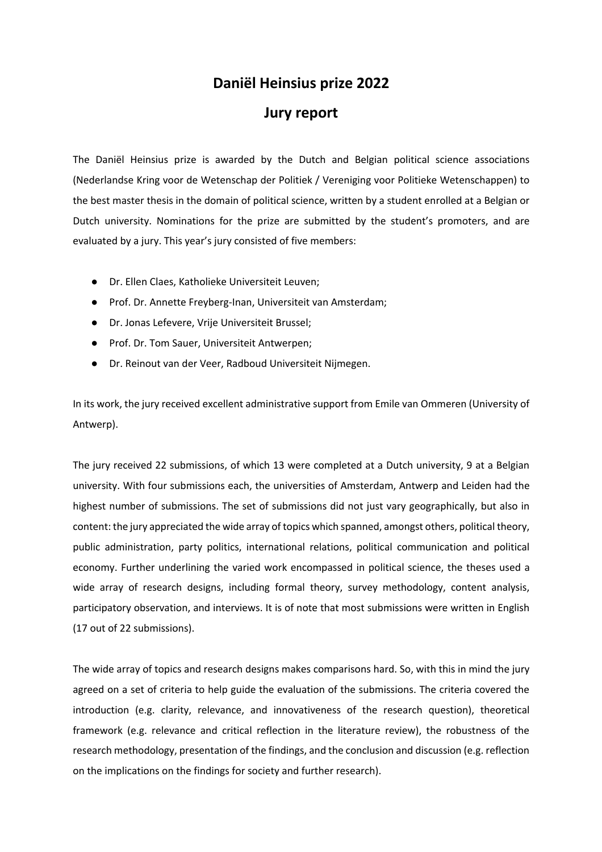# **Daniël Heinsius prize 2022**

# **Jury report**

The Daniël Heinsius prize is awarded by the Dutch and Belgian political science associations (Nederlandse Kring voor de Wetenschap der Politiek / Vereniging voor Politieke Wetenschappen) to the best master thesis in the domain of political science, written by a student enrolled at a Belgian or Dutch university. Nominations for the prize are submitted by the student's promoters, and are evaluated by a jury. This year's jury consisted of five members:

- Dr. Ellen Claes, Katholieke Universiteit Leuven;
- Prof. Dr. Annette Freyberg-Inan, Universiteit van Amsterdam;
- Dr. Jonas Lefevere, Vrije Universiteit Brussel;
- Prof. Dr. Tom Sauer, Universiteit Antwerpen;
- Dr. Reinout van der Veer, Radboud Universiteit Nijmegen.

In its work, the jury received excellent administrative support from Emile van Ommeren (University of Antwerp).

The jury received 22 submissions, of which 13 were completed at a Dutch university, 9 at a Belgian university. With four submissions each, the universities of Amsterdam, Antwerp and Leiden had the highest number of submissions. The set of submissions did not just vary geographically, but also in content: the jury appreciated the wide array of topics which spanned, amongst others, political theory, public administration, party politics, international relations, political communication and political economy. Further underlining the varied work encompassed in political science, the theses used a wide array of research designs, including formal theory, survey methodology, content analysis, participatory observation, and interviews. It is of note that most submissions were written in English (17 out of 22 submissions).

The wide array of topics and research designs makes comparisons hard. So, with this in mind the jury agreed on a set of criteria to help guide the evaluation of the submissions. The criteria covered the introduction (e.g. clarity, relevance, and innovativeness of the research question), theoretical framework (e.g. relevance and critical reflection in the literature review), the robustness of the research methodology, presentation of the findings, and the conclusion and discussion (e.g. reflection on the implications on the findings for society and further research).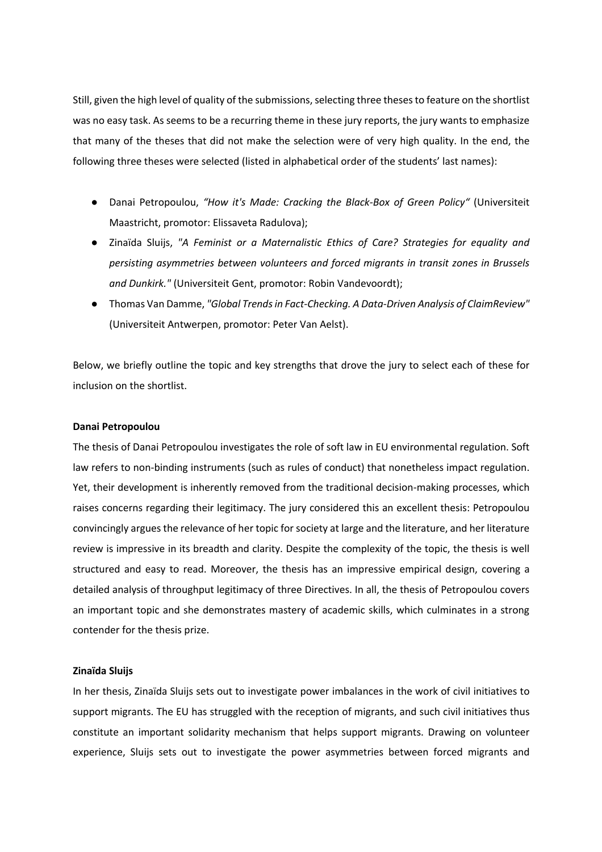Still, given the high level of quality of the submissions, selecting three theses to feature on the shortlist was no easy task. As seems to be a recurring theme in these jury reports, the jury wants to emphasize that many of the theses that did not make the selection were of very high quality. In the end, the following three theses were selected (listed in alphabetical order of the students' last names):

- Danai Petropoulou, *"How it's Made: Cracking the Black-Box of Green Policy"* (Universiteit Maastricht, promotor: Elissaveta Radulova);
- Zinaïda Sluijs, *"A Feminist or a Maternalistic Ethics of Care? Strategies for equality and persisting asymmetries between volunteers and forced migrants in transit zones in Brussels and Dunkirk."* (Universiteit Gent, promotor: Robin Vandevoordt);
- Thomas Van Damme, *"Global Trends in Fact-Checking. A Data-Driven Analysis of ClaimReview"* (Universiteit Antwerpen, promotor: Peter Van Aelst).

Below, we briefly outline the topic and key strengths that drove the jury to select each of these for inclusion on the shortlist.

## **Danai Petropoulou**

The thesis of Danai Petropoulou investigates the role of soft law in EU environmental regulation. Soft law refers to non-binding instruments (such as rules of conduct) that nonetheless impact regulation. Yet, their development is inherently removed from the traditional decision-making processes, which raises concerns regarding their legitimacy. The jury considered this an excellent thesis: Petropoulou convincingly argues the relevance of her topic for society at large and the literature, and her literature review is impressive in its breadth and clarity. Despite the complexity of the topic, the thesis is well structured and easy to read. Moreover, the thesis has an impressive empirical design, covering a detailed analysis of throughput legitimacy of three Directives. In all, the thesis of Petropoulou covers an important topic and she demonstrates mastery of academic skills, which culminates in a strong contender for the thesis prize.

## **Zinaïda Sluijs**

In her thesis, Zinaïda Sluijs sets out to investigate power imbalances in the work of civil initiatives to support migrants. The EU has struggled with the reception of migrants, and such civil initiatives thus constitute an important solidarity mechanism that helps support migrants. Drawing on volunteer experience, Sluijs sets out to investigate the power asymmetries between forced migrants and